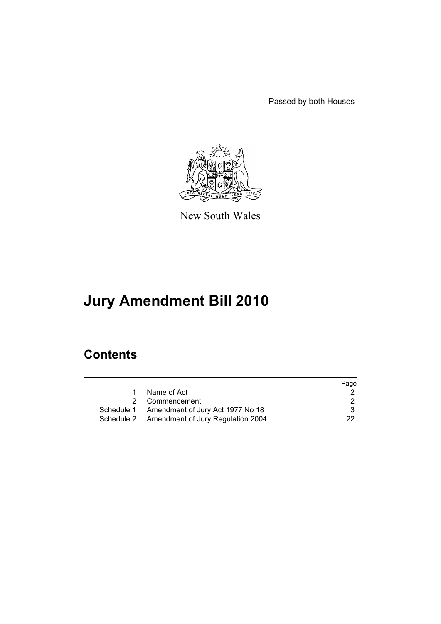Passed by both Houses



New South Wales

# **Jury Amendment Bill 2010**

# **Contents**

|   |                                              | Page |
|---|----------------------------------------------|------|
| 1 | Name of Act                                  |      |
|   | 2 Commencement                               | 2    |
|   | Schedule 1 Amendment of Jury Act 1977 No 18  | 3    |
|   | Schedule 2 Amendment of Jury Regulation 2004 | 22.  |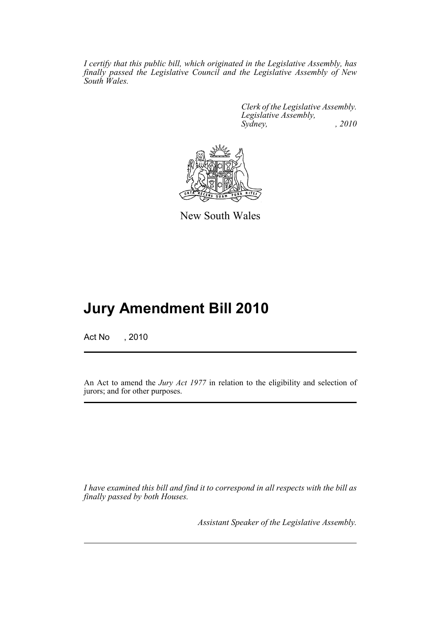*I certify that this public bill, which originated in the Legislative Assembly, has finally passed the Legislative Council and the Legislative Assembly of New South Wales.*

> *Clerk of the Legislative Assembly. Legislative Assembly, Sydney, , 2010*



New South Wales

# **Jury Amendment Bill 2010**

Act No , 2010

An Act to amend the *Jury Act 1977* in relation to the eligibility and selection of jurors; and for other purposes.

*I have examined this bill and find it to correspond in all respects with the bill as finally passed by both Houses.*

*Assistant Speaker of the Legislative Assembly.*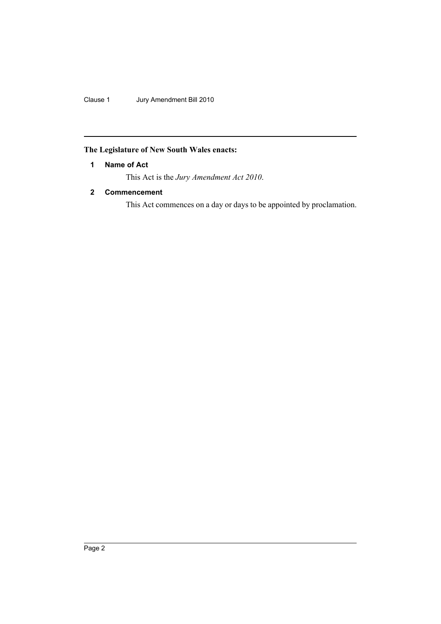Clause 1 Jury Amendment Bill 2010

### <span id="page-2-0"></span>**The Legislature of New South Wales enacts:**

### **1 Name of Act**

This Act is the *Jury Amendment Act 2010*.

### <span id="page-2-1"></span>**2 Commencement**

This Act commences on a day or days to be appointed by proclamation.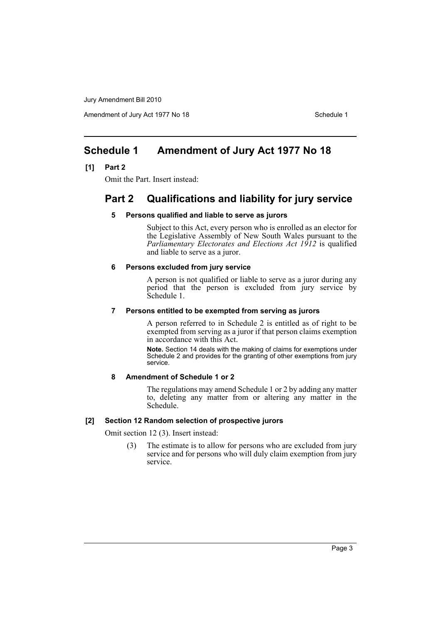Amendment of Jury Act 1977 No 18 Schedule 1

## <span id="page-3-0"></span>**Schedule 1 Amendment of Jury Act 1977 No 18**

#### **[1] Part 2**

Omit the Part. Insert instead:

# **Part 2 Qualifications and liability for jury service**

#### **5 Persons qualified and liable to serve as jurors**

Subject to this Act, every person who is enrolled as an elector for the Legislative Assembly of New South Wales pursuant to the *Parliamentary Electorates and Elections Act 1912* is qualified and liable to serve as a juror.

#### **6 Persons excluded from jury service**

A person is not qualified or liable to serve as a juror during any period that the person is excluded from jury service by Schedule 1.

#### **7 Persons entitled to be exempted from serving as jurors**

A person referred to in Schedule 2 is entitled as of right to be exempted from serving as a juror if that person claims exemption in accordance with this Act.

**Note.** Section 14 deals with the making of claims for exemptions under Schedule 2 and provides for the granting of other exemptions from jury service.

#### **8 Amendment of Schedule 1 or 2**

The regulations may amend Schedule 1 or 2 by adding any matter to, deleting any matter from or altering any matter in the Schedule.

#### **[2] Section 12 Random selection of prospective jurors**

Omit section 12 (3). Insert instead:

(3) The estimate is to allow for persons who are excluded from jury service and for persons who will duly claim exemption from jury service.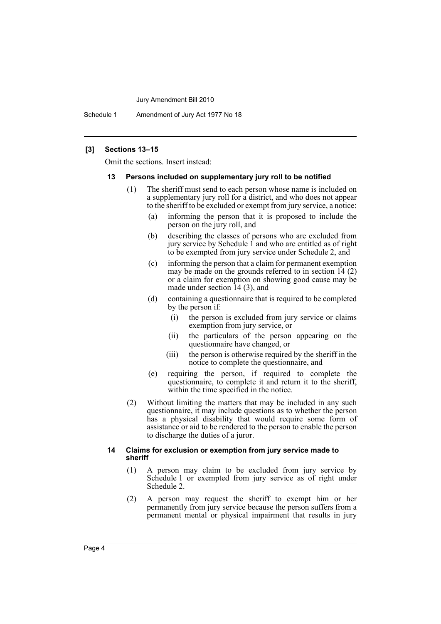Schedule 1 Amendment of Jury Act 1977 No 18

#### **[3] Sections 13–15**

Omit the sections. Insert instead:

#### **13 Persons included on supplementary jury roll to be notified**

- (1) The sheriff must send to each person whose name is included on a supplementary jury roll for a district, and who does not appear to the sheriff to be excluded or exempt from jury service, a notice:
	- (a) informing the person that it is proposed to include the person on the jury roll, and
	- (b) describing the classes of persons who are excluded from jury service by Schedule  $\hat{1}$  and who are entitled as of right to be exempted from jury service under Schedule 2, and
	- (c) informing the person that a claim for permanent exemption may be made on the grounds referred to in section  $14(2)$ or a claim for exemption on showing good cause may be made under section 14 (3), and
	- (d) containing a questionnaire that is required to be completed by the person if:
		- (i) the person is excluded from jury service or claims exemption from jury service, or
		- (ii) the particulars of the person appearing on the questionnaire have changed, or
		- (iii) the person is otherwise required by the sheriff in the notice to complete the questionnaire, and
	- (e) requiring the person, if required to complete the questionnaire, to complete it and return it to the sheriff, within the time specified in the notice.
- (2) Without limiting the matters that may be included in any such questionnaire, it may include questions as to whether the person has a physical disability that would require some form of assistance or aid to be rendered to the person to enable the person to discharge the duties of a juror.

#### **14 Claims for exclusion or exemption from jury service made to sheriff**

- (1) A person may claim to be excluded from jury service by Schedule 1 or exempted from jury service as of right under Schedule 2.
- (2) A person may request the sheriff to exempt him or her permanently from jury service because the person suffers from a permanent mental or physical impairment that results in jury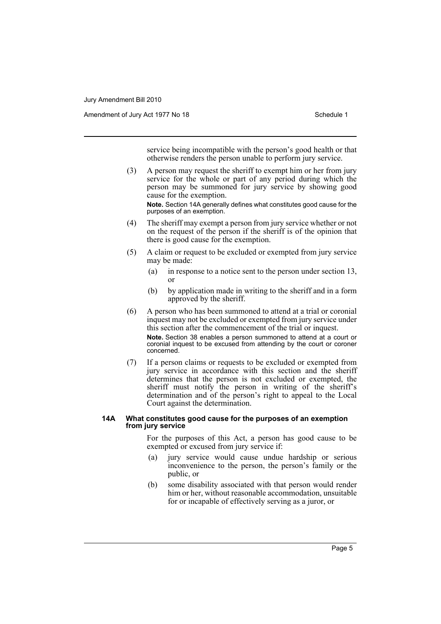Amendment of Jury Act 1977 No 18 Schedule 1

service being incompatible with the person's good health or that otherwise renders the person unable to perform jury service.

(3) A person may request the sheriff to exempt him or her from jury service for the whole or part of any period during which the person may be summoned for jury service by showing good cause for the exemption.

**Note.** Section 14A generally defines what constitutes good cause for the purposes of an exemption.

- (4) The sheriff may exempt a person from jury service whether or not on the request of the person if the sheriff is of the opinion that there is good cause for the exemption.
- (5) A claim or request to be excluded or exempted from jury service may be made:
	- (a) in response to a notice sent to the person under section 13, or
	- (b) by application made in writing to the sheriff and in a form approved by the sheriff.
- (6) A person who has been summoned to attend at a trial or coronial inquest may not be excluded or exempted from jury service under this section after the commencement of the trial or inquest. **Note.** Section 38 enables a person summoned to attend at a court or coronial inquest to be excused from attending by the court or coroner concerned.
- (7) If a person claims or requests to be excluded or exempted from jury service in accordance with this section and the sheriff determines that the person is not excluded or exempted, the sheriff must notify the person in writing of the sheriff's determination and of the person's right to appeal to the Local Court against the determination.

#### **14A What constitutes good cause for the purposes of an exemption from jury service**

For the purposes of this Act, a person has good cause to be exempted or excused from jury service if:

- (a) jury service would cause undue hardship or serious inconvenience to the person, the person's family or the public, or
- (b) some disability associated with that person would render him or her, without reasonable accommodation, unsuitable for or incapable of effectively serving as a juror, or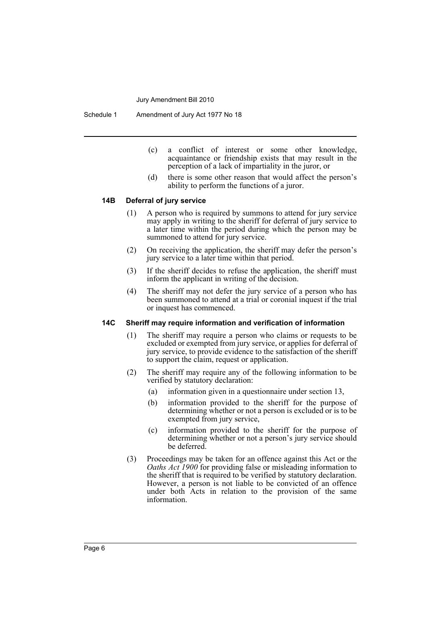Schedule 1 Amendment of Jury Act 1977 No 18

- (c) a conflict of interest or some other knowledge, acquaintance or friendship exists that may result in the perception of a lack of impartiality in the juror, or
- (d) there is some other reason that would affect the person's ability to perform the functions of a juror.

#### **14B Deferral of jury service**

- (1) A person who is required by summons to attend for jury service may apply in writing to the sheriff for deferral of jury service to a later time within the period during which the person may be summoned to attend for jury service.
- (2) On receiving the application, the sheriff may defer the person's jury service to a later time within that period.
- (3) If the sheriff decides to refuse the application, the sheriff must inform the applicant in writing of the decision.
- (4) The sheriff may not defer the jury service of a person who has been summoned to attend at a trial or coronial inquest if the trial or inquest has commenced.

#### **14C Sheriff may require information and verification of information**

- (1) The sheriff may require a person who claims or requests to be excluded or exempted from jury service, or applies for deferral of jury service, to provide evidence to the satisfaction of the sheriff to support the claim, request or application.
- (2) The sheriff may require any of the following information to be verified by statutory declaration:
	- (a) information given in a questionnaire under section 13,
	- (b) information provided to the sheriff for the purpose of determining whether or not a person is excluded or is to be exempted from jury service,
	- (c) information provided to the sheriff for the purpose of determining whether or not a person's jury service should be deferred.
- (3) Proceedings may be taken for an offence against this Act or the *Oaths Act 1900* for providing false or misleading information to the sheriff that is required to be verified by statutory declaration. However, a person is not liable to be convicted of an offence under both Acts in relation to the provision of the same information.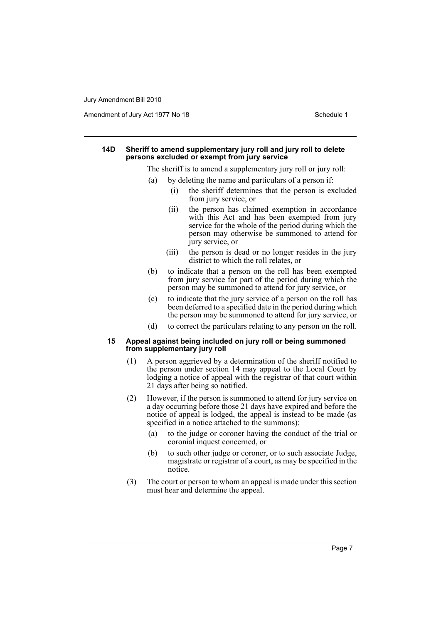Amendment of Jury Act 1977 No 18 Schedule 1

#### **14D Sheriff to amend supplementary jury roll and jury roll to delete persons excluded or exempt from jury service**

The sheriff is to amend a supplementary jury roll or jury roll:

- (a) by deleting the name and particulars of a person if:
	- (i) the sheriff determines that the person is excluded from jury service, or
	- (ii) the person has claimed exemption in accordance with this Act and has been exempted from jury service for the whole of the period during which the person may otherwise be summoned to attend for jury service, or
	- (iii) the person is dead or no longer resides in the jury district to which the roll relates, or
- (b) to indicate that a person on the roll has been exempted from jury service for part of the period during which the person may be summoned to attend for jury service, or
- (c) to indicate that the jury service of a person on the roll has been deferred to a specified date in the period during which the person may be summoned to attend for jury service, or
- (d) to correct the particulars relating to any person on the roll.

#### **15 Appeal against being included on jury roll or being summoned from supplementary jury roll**

- (1) A person aggrieved by a determination of the sheriff notified to the person under section 14 may appeal to the Local Court by lodging a notice of appeal with the registrar of that court within 21 days after being so notified.
- (2) However, if the person is summoned to attend for jury service on a day occurring before those 21 days have expired and before the notice of appeal is lodged, the appeal is instead to be made (as specified in a notice attached to the summons):
	- (a) to the judge or coroner having the conduct of the trial or coronial inquest concerned, or
	- (b) to such other judge or coroner, or to such associate Judge, magistrate or registrar of a court, as may be specified in the notice.
- (3) The court or person to whom an appeal is made under this section must hear and determine the appeal.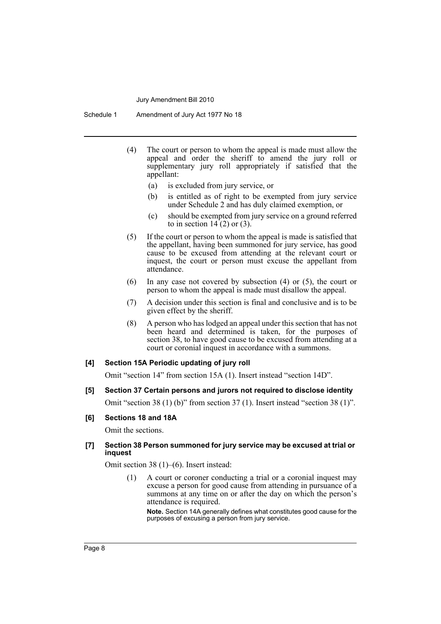Schedule 1 Amendment of Jury Act 1977 No 18

- (4) The court or person to whom the appeal is made must allow the appeal and order the sheriff to amend the jury roll or supplementary jury roll appropriately if satisfied that the appellant:
	- (a) is excluded from jury service, or
	- (b) is entitled as of right to be exempted from jury service under Schedule 2 and has duly claimed exemption, or
	- (c) should be exempted from jury service on a ground referred to in section  $14(2)$  or  $(3)$ .
- (5) If the court or person to whom the appeal is made is satisfied that the appellant, having been summoned for jury service, has good cause to be excused from attending at the relevant court or inquest, the court or person must excuse the appellant from attendance.
- (6) In any case not covered by subsection (4) or (5), the court or person to whom the appeal is made must disallow the appeal.
- (7) A decision under this section is final and conclusive and is to be given effect by the sheriff.
- (8) A person who has lodged an appeal under this section that has not been heard and determined is taken, for the purposes of section 38, to have good cause to be excused from attending at a court or coronial inquest in accordance with a summons.

#### **[4] Section 15A Periodic updating of jury roll**

Omit "section 14" from section 15A (1). Insert instead "section 14D".

**[5] Section 37 Certain persons and jurors not required to disclose identity**

Omit "section 38 (1) (b)" from section 37 (1). Insert instead "section 38 (1)".

#### **[6] Sections 18 and 18A**

Omit the sections.

#### **[7] Section 38 Person summoned for jury service may be excused at trial or inquest**

Omit section 38 (1)–(6). Insert instead:

(1) A court or coroner conducting a trial or a coronial inquest may excuse a person for good cause from attending in pursuance of a summons at any time on or after the day on which the person's attendance is required.

**Note.** Section 14A generally defines what constitutes good cause for the purposes of excusing a person from jury service.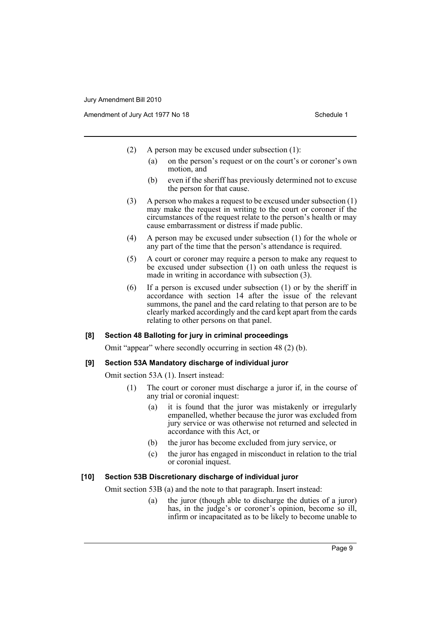- (2) A person may be excused under subsection (1):
	- (a) on the person's request or on the court's or coroner's own motion, and
	- (b) even if the sheriff has previously determined not to excuse the person for that cause.
- (3) A person who makes a request to be excused under subsection (1) may make the request in writing to the court or coroner if the circumstances of the request relate to the person's health or may cause embarrassment or distress if made public.
- (4) A person may be excused under subsection (1) for the whole or any part of the time that the person's attendance is required.
- (5) A court or coroner may require a person to make any request to be excused under subsection (1) on oath unless the request is made in writing in accordance with subsection (3).
- (6) If a person is excused under subsection (1) or by the sheriff in accordance with section 14 after the issue of the relevant summons, the panel and the card relating to that person are to be clearly marked accordingly and the card kept apart from the cards relating to other persons on that panel.

#### **[8] Section 48 Balloting for jury in criminal proceedings**

Omit "appear" where secondly occurring in section 48 (2) (b).

#### **[9] Section 53A Mandatory discharge of individual juror**

Omit section 53A (1). Insert instead:

- (1) The court or coroner must discharge a juror if, in the course of any trial or coronial inquest:
	- (a) it is found that the juror was mistakenly or irregularly empanelled, whether because the juror was excluded from jury service or was otherwise not returned and selected in accordance with this Act, or
	- (b) the juror has become excluded from jury service, or
	- (c) the juror has engaged in misconduct in relation to the trial or coronial inquest.

#### **[10] Section 53B Discretionary discharge of individual juror**

Omit section 53B (a) and the note to that paragraph. Insert instead:

(a) the juror (though able to discharge the duties of a juror) has, in the judge's or coroner's opinion, become so ill, infirm or incapacitated as to be likely to become unable to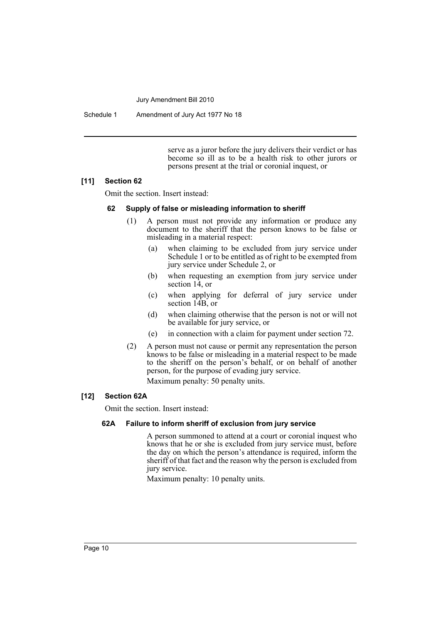Schedule 1 Amendment of Jury Act 1977 No 18

serve as a juror before the jury delivers their verdict or has become so ill as to be a health risk to other jurors or persons present at the trial or coronial inquest, or

#### **[11] Section 62**

Omit the section. Insert instead:

#### **62 Supply of false or misleading information to sheriff**

- (1) A person must not provide any information or produce any document to the sheriff that the person knows to be false or misleading in a material respect:
	- (a) when claiming to be excluded from jury service under Schedule 1 or to be entitled as of right to be exempted from jury service under Schedule 2, or
	- (b) when requesting an exemption from jury service under section 14, or
	- (c) when applying for deferral of jury service under section 14B, or
	- (d) when claiming otherwise that the person is not or will not be available for jury service, or
	- (e) in connection with a claim for payment under section 72.
- (2) A person must not cause or permit any representation the person knows to be false or misleading in a material respect to be made to the sheriff on the person's behalf, or on behalf of another person, for the purpose of evading jury service.

Maximum penalty: 50 penalty units.

#### **[12] Section 62A**

Omit the section. Insert instead:

### **62A Failure to inform sheriff of exclusion from jury service**

A person summoned to attend at a court or coronial inquest who knows that he or she is excluded from jury service must, before the day on which the person's attendance is required, inform the sheriff of that fact and the reason why the person is excluded from jury service.

Maximum penalty: 10 penalty units.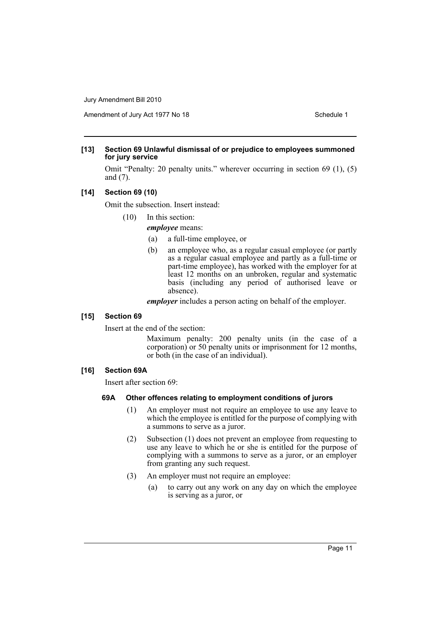Amendment of Jury Act 1977 No 18 Schedule 1

#### **[13] Section 69 Unlawful dismissal of or prejudice to employees summoned for jury service**

Omit "Penalty: 20 penalty units." wherever occurring in section 69 (1), (5) and (7).

#### **[14] Section 69 (10)**

Omit the subsection. Insert instead:

(10) In this section:

#### *employee* means:

- (a) a full-time employee, or
- (b) an employee who, as a regular casual employee (or partly as a regular casual employee and partly as a full-time or part-time employee), has worked with the employer for at least 12 months on an unbroken, regular and systematic basis (including any period of authorised leave or absence).

*employer* includes a person acting on behalf of the employer.

#### **[15] Section 69**

Insert at the end of the section:

Maximum penalty: 200 penalty units (in the case of a corporation) or 50 penalty units or imprisonment for 12 months, or both (in the case of an individual).

#### **[16] Section 69A**

Insert after section 69:

#### **69A Other offences relating to employment conditions of jurors**

- (1) An employer must not require an employee to use any leave to which the employee is entitled for the purpose of complying with a summons to serve as a juror.
- (2) Subsection (1) does not prevent an employee from requesting to use any leave to which he or she is entitled for the purpose of complying with a summons to serve as a juror, or an employer from granting any such request.
- (3) An employer must not require an employee:
	- (a) to carry out any work on any day on which the employee is serving as a juror, or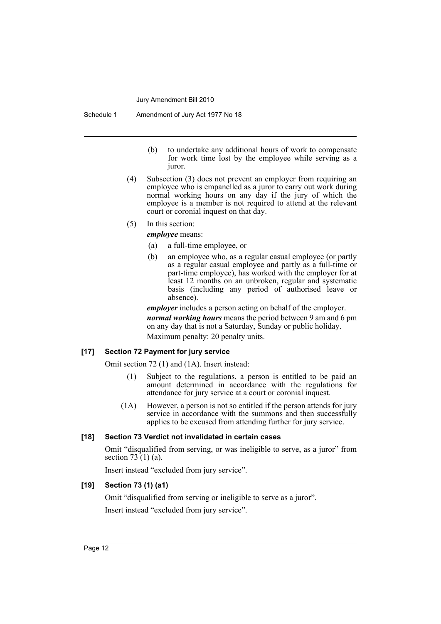Schedule 1 Amendment of Jury Act 1977 No 18

- (b) to undertake any additional hours of work to compensate for work time lost by the employee while serving as a juror.
- (4) Subsection (3) does not prevent an employer from requiring an employee who is empanelled as a juror to carry out work during normal working hours on any day if the jury of which the employee is a member is not required to attend at the relevant court or coronial inquest on that day.
- (5) In this section:

*employee* means:

- (a) a full-time employee, or
- (b) an employee who, as a regular casual employee (or partly as a regular casual employee and partly as a full-time or part-time employee), has worked with the employer for at least 12 months on an unbroken, regular and systematic basis (including any period of authorised leave or absence).

*employer* includes a person acting on behalf of the employer. *normal working hours* means the period between 9 am and 6 pm on any day that is not a Saturday, Sunday or public holiday. Maximum penalty: 20 penalty units.

#### **[17] Section 72 Payment for jury service**

Omit section 72 (1) and (1A). Insert instead:

- (1) Subject to the regulations, a person is entitled to be paid an amount determined in accordance with the regulations for attendance for jury service at a court or coronial inquest.
- (1A) However, a person is not so entitled if the person attends for jury service in accordance with the summons and then successfully applies to be excused from attending further for jury service.

#### **[18] Section 73 Verdict not invalidated in certain cases**

Omit "disqualified from serving, or was ineligible to serve, as a juror" from section 73  $(1)$  (a).

Insert instead "excluded from jury service".

#### **[19] Section 73 (1) (a1)**

Omit "disqualified from serving or ineligible to serve as a juror". Insert instead "excluded from jury service".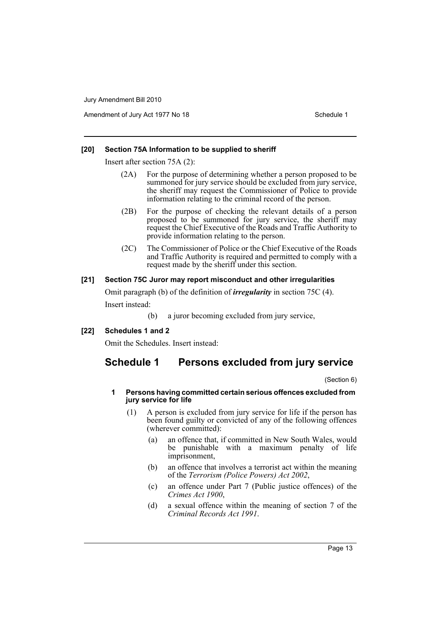Amendment of Jury Act 1977 No 18 Schedule 1

#### **[20] Section 75A Information to be supplied to sheriff**

Insert after section 75A (2):

- (2A) For the purpose of determining whether a person proposed to be summoned for jury service should be excluded from jury service, the sheriff may request the Commissioner of Police to provide information relating to the criminal record of the person.
- (2B) For the purpose of checking the relevant details of a person proposed to be summoned for jury service, the sheriff may request the Chief Executive of the Roads and Traffic Authority to provide information relating to the person.
- (2C) The Commissioner of Police or the Chief Executive of the Roads and Traffic Authority is required and permitted to comply with a request made by the sheriff under this section.

#### **[21] Section 75C Juror may report misconduct and other irregularities**

Omit paragraph (b) of the definition of *irregularity* in section 75C (4). Insert instead:

- (b) a juror becoming excluded from jury service,
- **[22] Schedules 1 and 2**

Omit the Schedules. Insert instead:

## **Schedule 1 Persons excluded from jury service**

(Section 6)

#### **1 Persons having committed certain serious offences excluded from jury service for life**

- (1) A person is excluded from jury service for life if the person has been found guilty or convicted of any of the following offences (wherever committed):
	- (a) an offence that, if committed in New South Wales, would be punishable with a maximum penalty of life imprisonment,
	- (b) an offence that involves a terrorist act within the meaning of the *Terrorism (Police Powers) Act 2002*,
	- (c) an offence under Part 7 (Public justice offences) of the *Crimes Act 1900*,
	- (d) a sexual offence within the meaning of section 7 of the *Criminal Records Act 1991*.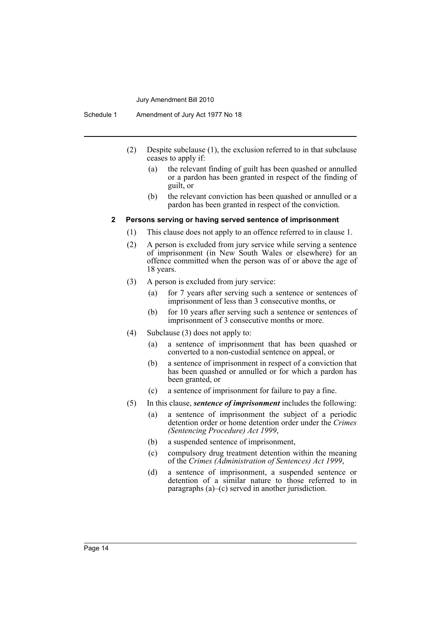Schedule 1 Amendment of Jury Act 1977 No 18

- (2) Despite subclause (1), the exclusion referred to in that subclause ceases to apply if:
	- (a) the relevant finding of guilt has been quashed or annulled or a pardon has been granted in respect of the finding of guilt, or
	- (b) the relevant conviction has been quashed or annulled or a pardon has been granted in respect of the conviction.

#### **2 Persons serving or having served sentence of imprisonment**

- (1) This clause does not apply to an offence referred to in clause 1.
- (2) A person is excluded from jury service while serving a sentence of imprisonment (in New South Wales or elsewhere) for an offence committed when the person was of or above the age of 18 years.
- (3) A person is excluded from jury service:
	- (a) for 7 years after serving such a sentence or sentences of imprisonment of less than 3 consecutive months, or
	- (b) for 10 years after serving such a sentence or sentences of imprisonment of 3 consecutive months or more.
- (4) Subclause (3) does not apply to:
	- (a) a sentence of imprisonment that has been quashed or converted to a non-custodial sentence on appeal, or
	- (b) a sentence of imprisonment in respect of a conviction that has been quashed or annulled or for which a pardon has been granted, or
	- (c) a sentence of imprisonment for failure to pay a fine.
- (5) In this clause, *sentence of imprisonment* includes the following:
	- (a) a sentence of imprisonment the subject of a periodic detention order or home detention order under the *Crimes (Sentencing Procedure) Act 1999*,
	- (b) a suspended sentence of imprisonment,
	- (c) compulsory drug treatment detention within the meaning of the *Crimes (Administration of Sentences) Act 1999*,
	- (d) a sentence of imprisonment, a suspended sentence or detention of a similar nature to those referred to in paragraphs (a)–(c) served in another jurisdiction.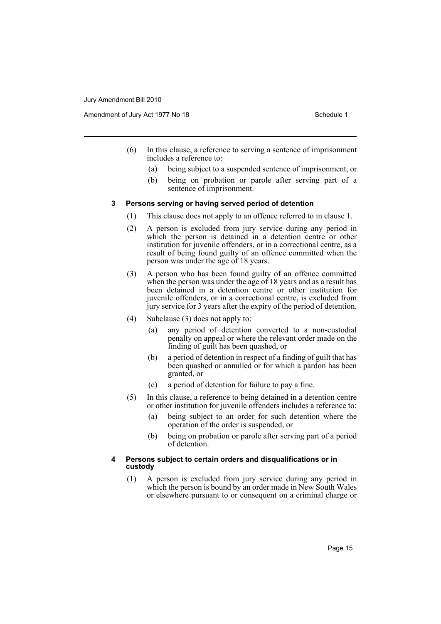Amendment of Jury Act 1977 No 18 Schedule 1

- (6) In this clause, a reference to serving a sentence of imprisonment includes a reference to:
	- (a) being subject to a suspended sentence of imprisonment, or
	- (b) being on probation or parole after serving part of a sentence of imprisonment.

#### **3 Persons serving or having served period of detention**

- (1) This clause does not apply to an offence referred to in clause 1.
- (2) A person is excluded from jury service during any period in which the person is detained in a detention centre or other institution for juvenile offenders, or in a correctional centre, as a result of being found guilty of an offence committed when the person was under the age of 18 years.
- (3) A person who has been found guilty of an offence committed when the person was under the age of 18 years and as a result has been detained in a detention centre or other institution for juvenile offenders, or in a correctional centre, is excluded from jury service for 3 years after the expiry of the period of detention.
- (4) Subclause (3) does not apply to:
	- (a) any period of detention converted to a non-custodial penalty on appeal or where the relevant order made on the finding of guilt has been quashed, or
	- (b) a period of detention in respect of a finding of guilt that has been quashed or annulled or for which a pardon has been granted, or
	- (c) a period of detention for failure to pay a fine.
- (5) In this clause, a reference to being detained in a detention centre or other institution for juvenile offenders includes a reference to:
	- (a) being subject to an order for such detention where the operation of the order is suspended, or
	- (b) being on probation or parole after serving part of a period of detention.

#### **4 Persons subject to certain orders and disqualifications or in custody**

(1) A person is excluded from jury service during any period in which the person is bound by an order made in New South Wales or elsewhere pursuant to or consequent on a criminal charge or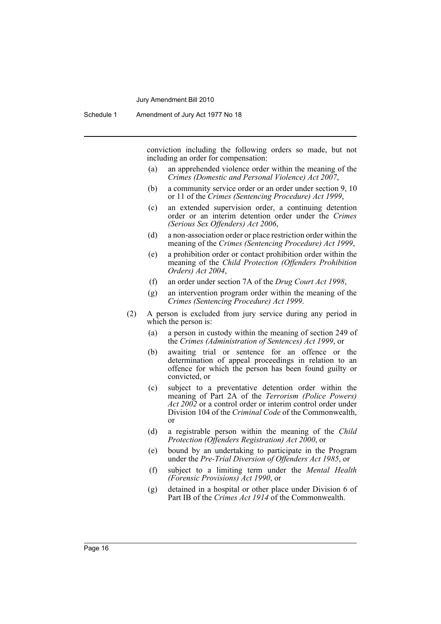conviction including the following orders so made, but not including an order for compensation:

- (a) an apprehended violence order within the meaning of the *Crimes (Domestic and Personal Violence) Act 2007*,
- (b) a community service order or an order under section 9, 10 or 11 of the *Crimes (Sentencing Procedure) Act 1999*,
- (c) an extended supervision order, a continuing detention order or an interim detention order under the *Crimes (Serious Sex Offenders) Act 2006*,
- (d) a non-association order or place restriction order within the meaning of the *Crimes (Sentencing Procedure) Act 1999*,
- (e) a prohibition order or contact prohibition order within the meaning of the *Child Protection (Offenders Prohibition Orders) Act 2004*,
- (f) an order under section 7A of the *Drug Court Act 1998*,
- (g) an intervention program order within the meaning of the *Crimes (Sentencing Procedure) Act 1999*.
- (2) A person is excluded from jury service during any period in which the person is:
	- (a) a person in custody within the meaning of section 249 of the *Crimes (Administration of Sentences) Act 1999*, or
	- (b) awaiting trial or sentence for an offence or the determination of appeal proceedings in relation to an offence for which the person has been found guilty or convicted, or
	- (c) subject to a preventative detention order within the meaning of Part 2A of the *Terrorism (Police Powers) Act 2002* or a control order or interim control order under Division 104 of the *Criminal Code* of the Commonwealth, or
	- (d) a registrable person within the meaning of the *Child Protection (Offenders Registration) Act 2000*, or
	- (e) bound by an undertaking to participate in the Program under the *Pre-Trial Diversion of Offenders Act 1985*, or
	- (f) subject to a limiting term under the *Mental Health (Forensic Provisions) Act 1990*, or
	- (g) detained in a hospital or other place under Division 6 of Part IB of the *Crimes Act 1914* of the Commonwealth.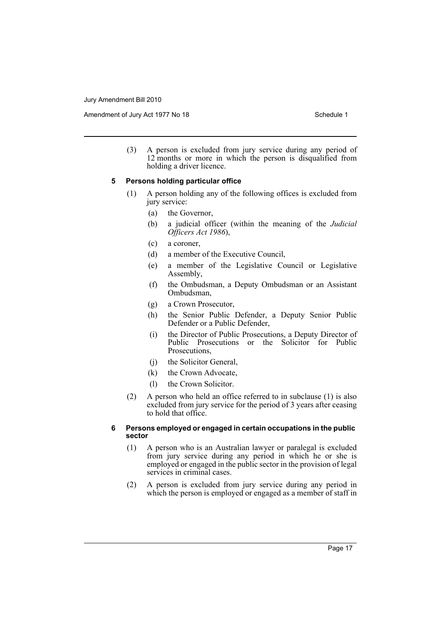Amendment of Jury Act 1977 No 18 Schedule 1

(3) A person is excluded from jury service during any period of 12 months or more in which the person is disqualified from holding a driver licence.

#### **5 Persons holding particular office**

- (1) A person holding any of the following offices is excluded from jury service:
	- (a) the Governor,
	- (b) a judicial officer (within the meaning of the *Judicial Officers Act 1986*),
	- (c) a coroner,
	- (d) a member of the Executive Council,
	- (e) a member of the Legislative Council or Legislative Assembly,
	- (f) the Ombudsman, a Deputy Ombudsman or an Assistant Ombudsman,
	- (g) a Crown Prosecutor,
	- (h) the Senior Public Defender, a Deputy Senior Public Defender or a Public Defender,
	- (i) the Director of Public Prosecutions, a Deputy Director of Public Prosecutions or the Solicitor for Public Prosecutions,
	- (j) the Solicitor General,
	- (k) the Crown Advocate,
	- (l) the Crown Solicitor.
- (2) A person who held an office referred to in subclause (1) is also excluded from jury service for the period of 3 years after ceasing to hold that office.

#### **6 Persons employed or engaged in certain occupations in the public sector**

- (1) A person who is an Australian lawyer or paralegal is excluded from jury service during any period in which he or she is employed or engaged in the public sector in the provision of legal services in criminal cases.
- (2) A person is excluded from jury service during any period in which the person is employed or engaged as a member of staff in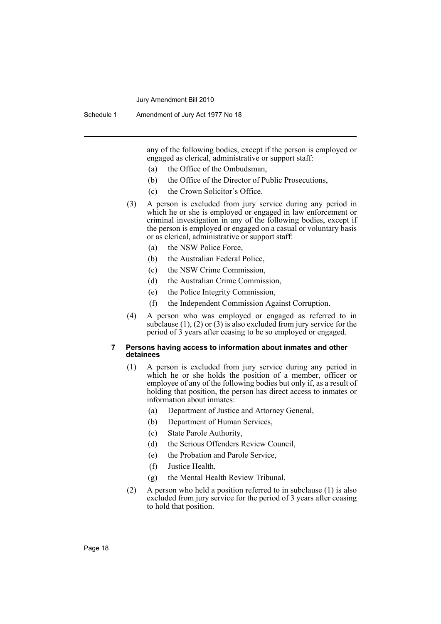Schedule 1 Amendment of Jury Act 1977 No 18

any of the following bodies, except if the person is employed or engaged as clerical, administrative or support staff:

- (a) the Office of the Ombudsman,
- (b) the Office of the Director of Public Prosecutions,
- (c) the Crown Solicitor's Office.
- (3) A person is excluded from jury service during any period in which he or she is employed or engaged in law enforcement or criminal investigation in any of the following bodies, except if the person is employed or engaged on a casual or voluntary basis or as clerical, administrative or support staff:
	- (a) the NSW Police Force,
	- (b) the Australian Federal Police,
	- (c) the NSW Crime Commission,
	- (d) the Australian Crime Commission,
	- (e) the Police Integrity Commission,
	- (f) the Independent Commission Against Corruption.
- (4) A person who was employed or engaged as referred to in subclause (1), (2) or (3) is also excluded from jury service for the period of 3 years after ceasing to be so employed or engaged.

#### **7 Persons having access to information about inmates and other detainees**

- (1) A person is excluded from jury service during any period in which he or she holds the position of a member, officer or employee of any of the following bodies but only if, as a result of holding that position, the person has direct access to inmates or information about inmates:
	- (a) Department of Justice and Attorney General,
	- (b) Department of Human Services,
	- (c) State Parole Authority,
	- (d) the Serious Offenders Review Council,
	- (e) the Probation and Parole Service,
	- (f) Justice Health,
	- (g) the Mental Health Review Tribunal.
- (2) A person who held a position referred to in subclause (1) is also excluded from jury service for the period of 3 years after ceasing to hold that position.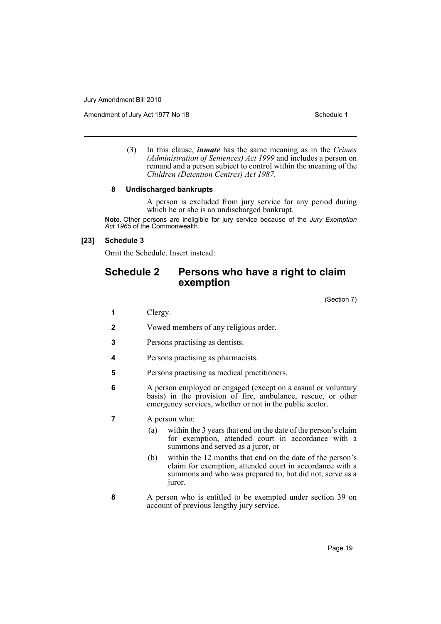Amendment of Jury Act 1977 No 18 Schedule 1

(3) In this clause, *inmate* has the same meaning as in the *Crimes (Administration of Sentences) Act 1999* and includes a person on remand and a person subject to control within the meaning of the *Children (Detention Centres) Act 1987*.

#### **8 Undischarged bankrupts**

A person is excluded from jury service for any period during which he or she is an undischarged bankrupt.

**Note.** Other persons are ineligible for jury service because of the *Jury Exemption Act 1965* of the Commonwealth.

#### **[23] Schedule 3**

Omit the Schedule. Insert instead:

## **Schedule 2 Persons who have a right to claim exemption**

(Section 7)

- **1** Clergy.
- **2** Vowed members of any religious order.
- **3** Persons practising as dentists.
- **4** Persons practising as pharmacists.
- **5** Persons practising as medical practitioners.
- **6** A person employed or engaged (except on a casual or voluntary basis) in the provision of fire, ambulance, rescue, or other emergency services, whether or not in the public sector.

#### **7** A person who:

- (a) within the 3 years that end on the date of the person's claim for exemption, attended court in accordance with a summons and served as a juror, or
- (b) within the 12 months that end on the date of the person's claim for exemption, attended court in accordance with a summons and who was prepared to, but did not, serve as a juror.
- **8** A person who is entitled to be exempted under section 39 on account of previous lengthy jury service.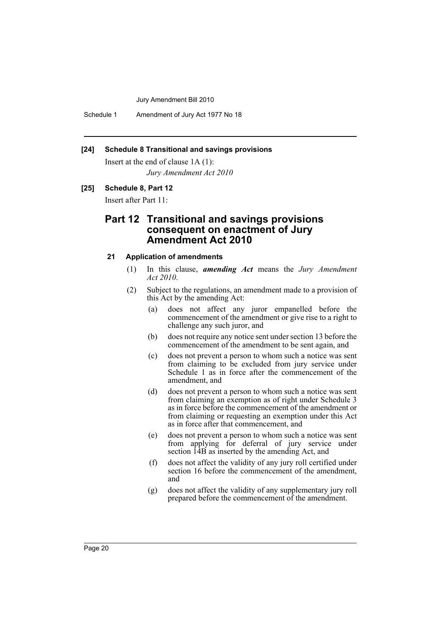Schedule 1 Amendment of Jury Act 1977 No 18

#### **[24] Schedule 8 Transitional and savings provisions**

Insert at the end of clause 1A (1): *Jury Amendment Act 2010*

#### **[25] Schedule 8, Part 12**

Insert after Part 11:

## **Part 12 Transitional and savings provisions consequent on enactment of Jury Amendment Act 2010**

#### **21 Application of amendments**

- (1) In this clause, *amending Act* means the *Jury Amendment Act 2010*.
- (2) Subject to the regulations, an amendment made to a provision of this Act by the amending Act:
	- (a) does not affect any juror empanelled before the commencement of the amendment or give rise to a right to challenge any such juror, and
	- (b) does not require any notice sent under section 13 before the commencement of the amendment to be sent again, and
	- (c) does not prevent a person to whom such a notice was sent from claiming to be excluded from jury service under Schedule 1 as in force after the commencement of the amendment, and
	- (d) does not prevent a person to whom such a notice was sent from claiming an exemption as of right under Schedule 3 as in force before the commencement of the amendment or from claiming or requesting an exemption under this Act as in force after that commencement, and
	- (e) does not prevent a person to whom such a notice was sent from applying for deferral of jury service under section 14B as inserted by the amending Act, and
	- (f) does not affect the validity of any jury roll certified under section 16 before the commencement of the amendment, and
	- (g) does not affect the validity of any supplementary jury roll prepared before the commencement of the amendment.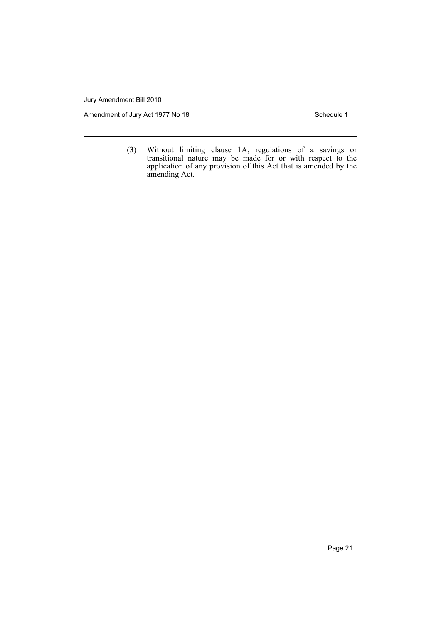Amendment of Jury Act 1977 No 18 Schedule 1

(3) Without limiting clause 1A, regulations of a savings or transitional nature may be made for or with respect to the application of any provision of this Act that is amended by the amending Act.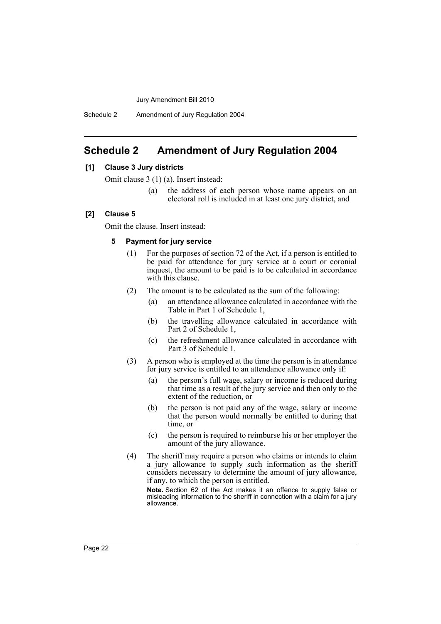Schedule 2 Amendment of Jury Regulation 2004

## <span id="page-22-0"></span>**Schedule 2 Amendment of Jury Regulation 2004**

#### **[1] Clause 3 Jury districts**

Omit clause 3 (1) (a). Insert instead:

(a) the address of each person whose name appears on an electoral roll is included in at least one jury district, and

#### **[2] Clause 5**

Omit the clause. Insert instead:

#### **5 Payment for jury service**

- (1) For the purposes of section 72 of the Act, if a person is entitled to be paid for attendance for jury service at a court or coronial inquest, the amount to be paid is to be calculated in accordance with this clause.
- (2) The amount is to be calculated as the sum of the following:
	- (a) an attendance allowance calculated in accordance with the Table in Part 1 of Schedule 1,
	- (b) the travelling allowance calculated in accordance with Part 2 of Schedule 1,
	- (c) the refreshment allowance calculated in accordance with Part 3 of Schedule 1.
- (3) A person who is employed at the time the person is in attendance for jury service is entitled to an attendance allowance only if:
	- (a) the person's full wage, salary or income is reduced during that time as a result of the jury service and then only to the extent of the reduction, or
	- (b) the person is not paid any of the wage, salary or income that the person would normally be entitled to during that time, or
	- (c) the person is required to reimburse his or her employer the amount of the jury allowance.
- (4) The sheriff may require a person who claims or intends to claim a jury allowance to supply such information as the sheriff considers necessary to determine the amount of jury allowance, if any, to which the person is entitled.

**Note.** Section 62 of the Act makes it an offence to supply false or misleading information to the sheriff in connection with a claim for a jury allowance.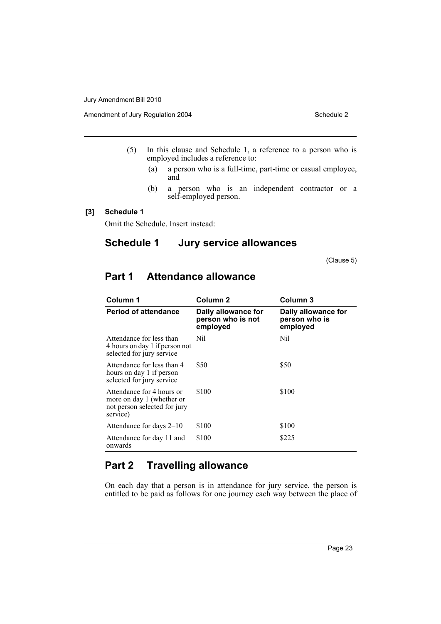- (5) In this clause and Schedule 1, a reference to a person who is employed includes a reference to:
	- (a) a person who is a full-time, part-time or casual employee, and
	- (b) a person who is an independent contractor or a self-employed person.

#### **[3] Schedule 1**

Omit the Schedule. Insert instead:

# **Schedule 1 Jury service allowances**

(Clause 5)

| Column 1                                                                                           | Column <sub>2</sub>                                  | Column 3                                         |  |
|----------------------------------------------------------------------------------------------------|------------------------------------------------------|--------------------------------------------------|--|
| <b>Period of attendance</b>                                                                        | Daily allowance for<br>person who is not<br>employed | Daily allowance for<br>person who is<br>employed |  |
| Attendance for less than<br>4 hours on day 1 if person not<br>selected for jury service            | Nil                                                  | Nil                                              |  |
| Attendance for less than 4<br>hours on day 1 if person<br>selected for jury service                | \$50                                                 | \$50                                             |  |
| Attendance for 4 hours or<br>more on day 1 (whether or<br>not person selected for jury<br>service) | \$100                                                | \$100                                            |  |
| Attendance for days 2–10                                                                           | \$100                                                | \$100                                            |  |
| Attendance for day 11 and<br>onwards                                                               | \$100                                                | \$225                                            |  |

# **Part 1 Attendance allowance**

## **Part 2 Travelling allowance**

On each day that a person is in attendance for jury service, the person is entitled to be paid as follows for one journey each way between the place of